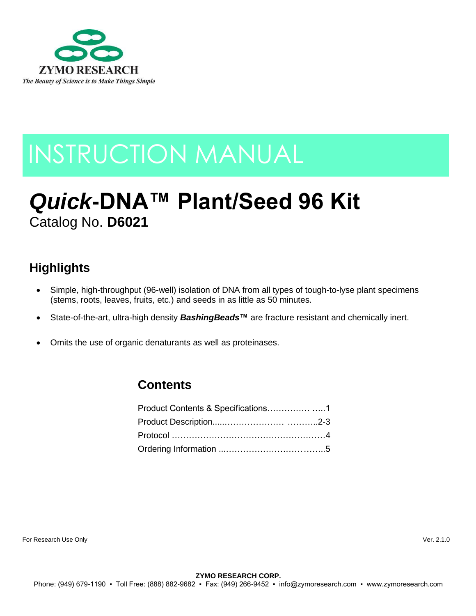

# INSTRUCTION MANUAL

# *Quick***-DNA™ Plant/Seed 96 Kit** Catalog No. **D6021**

## **Highlights**

- Simple, high-throughput (96-well) isolation of DNA from all types of tough-to-lyse plant specimens (stems, roots, leaves, fruits, etc.) and seeds in as little as 50 minutes.
- State-of-the-art, ultra-high density *BashingBeads***™** are fracture resistant and chemically inert.
- Omits the use of organic denaturants as well as proteinases.

### **Contents**

For Research Use Only Ver. 2.1.0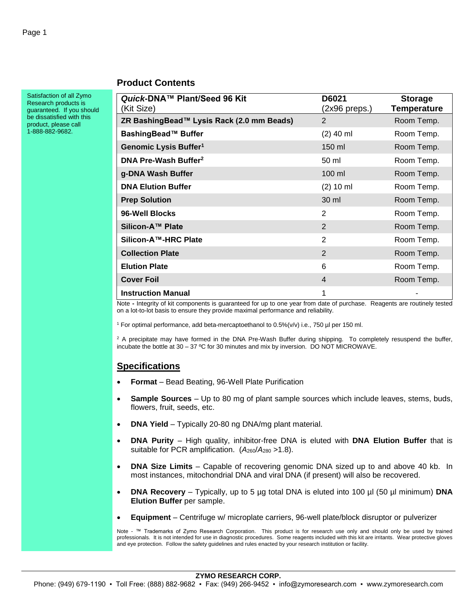#### **Product Contents**

Satisfaction of all Zymo Research products is guaranteed. If you should be dissatisfied with this product, please call 1-888-882-9682.

| Quick-DNA™ Plant/Seed 96 Kit<br>(Kit Size) | D6021<br>(2x96 preps.) | <b>Storage</b><br>Temperature |
|--------------------------------------------|------------------------|-------------------------------|
| ZR BashingBead™ Lysis Rack (2.0 mm Beads)  | $\overline{2}$         | Room Temp.                    |
| BashingBead™ Buffer                        | $(2)$ 40 ml            | Room Temp.                    |
| Genomic Lysis Buffer <sup>1</sup>          | $150$ ml               | Room Temp.                    |
| DNA Pre-Wash Buffer <sup>2</sup>           | 50 ml                  | Room Temp.                    |
| g-DNA Wash Buffer                          | $100$ ml               | Room Temp.                    |
| <b>DNA Elution Buffer</b>                  | $(2)$ 10 ml            | Room Temp.                    |
| <b>Prep Solution</b>                       | 30 ml                  | Room Temp.                    |
| 96-Well Blocks                             | 2                      | Room Temp.                    |
| Silicon-A™ Plate                           | 2                      | Room Temp.                    |
| Silicon-A™-HRC Plate                       | $\overline{2}$         | Room Temp.                    |
| <b>Collection Plate</b>                    | 2                      | Room Temp.                    |
| <b>Elution Plate</b>                       | 6                      | Room Temp.                    |
| <b>Cover Foil</b>                          | 4                      | Room Temp.                    |
| <b>Instruction Manual</b>                  | 1                      |                               |

Note **-** Integrity of kit components is guaranteed for up to one year from date of purchase. Reagents are routinely tested on a lot-to-lot basis to ensure they provide maximal performance and reliability.

<sup>1</sup> For optimal performance, add beta-mercaptoethanol to 0.5%(v/v) i.e., 750 µl per 150 ml.

 $2$  A precipitate may have formed in the DNA Pre-Wash Buffer during shipping. To completely resuspend the buffer, incubate the bottle at 30 – 37 ºC for 30 minutes and mix by inversion. DO NOT MICROWAVE.

#### **Specifications**

- **Format** Bead Beating, 96-Well Plate Purification
- **Sample Sources** Up to 80 mg of plant sample sources which include leaves, stems, buds, flowers, fruit, seeds, etc.
- **DNA Yield** Typically 20-80 ng DNA/mg plant material.
- **DNA Purity** High quality, inhibitor-free DNA is eluted with **DNA Elution Buffer** that is suitable for PCR amplification. ( $A_{260}/A_{280}$  > 1.8).
- **DNA Size Limits** Capable of recovering genomic DNA sized up to and above 40 kb. In most instances, mitochondrial DNA and viral DNA (if present) will also be recovered.
- **DNA Recovery** Typically, up to 5 µg total DNA is eluted into 100 µl (50 µl minimum) **DNA Elution Buffer** per sample.
- **Equipment** Centrifuge w/ microplate carriers, 96-well plate/block disruptor or pulverizer

Note - ™ Trademarks of Zymo Research Corporation. This product is for research use only and should only be used by trained professionals. It is not intended for use in diagnostic procedures. Some reagents included with this kit are irritants. Wear protective gloves and eye protection. Follow the safety guidelines and rules enacted by your research institution or facility.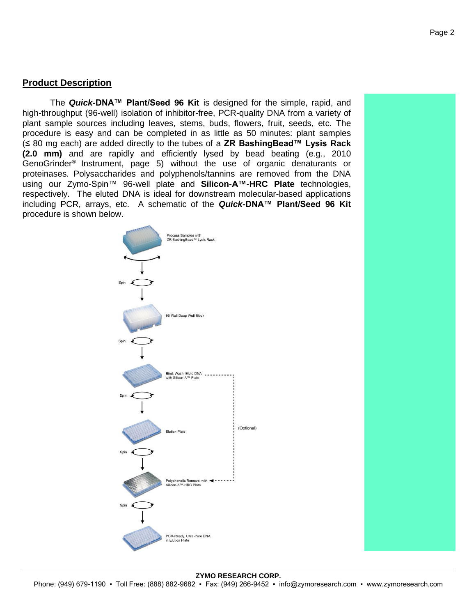#### **Product Description**

The *Quick***-DNA™ Plant/Seed 96 Kit** is designed for the simple, rapid, and high-throughput (96-well) isolation of inhibitor-free, PCR-quality DNA from a variety of plant sample sources including leaves, stems, buds, flowers, fruit, seeds, etc. The procedure is easy and can be completed in as little as 50 minutes: plant samples (≤ 80 mg each) are added directly to the tubes of a **ZR BashingBead™ Lysis Rack (2.0 mm)** and are rapidly and efficiently lysed by bead beating (e.g., 2010 GenoGrinder® Instrument, page 5) without the use of organic denaturants or proteinases. Polysaccharides and polyphenols/tannins are removed from the DNA using our Zymo-Spin™ 96-well plate and **Silicon-A™-HRC Plate** technologies, respectively. The eluted DNA is ideal for downstream molecular-based applications including PCR, arrays, etc. A schematic of the *Quick***-DNA™ Plant/Seed 96 Kit** procedure is shown below.

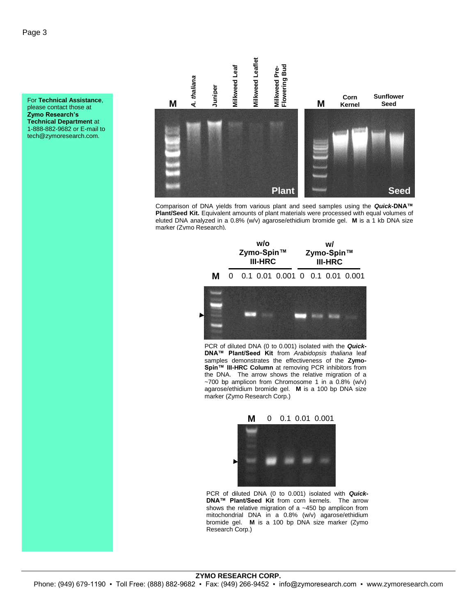For **Technical Assistance**, please contact those at **Zymo Research's Technical Department** at 1-888-882-9682 or E-mail to tech@zymoresearch.com.



Comparison of DNA yields from various plant and seed samples using the *Quick***-DNA™ Plant/Seed Kit.** Equivalent amounts of plant materials were processed with equal volumes of eluted DNA analyzed in a 0.8% (w/v) agarose/ethidium bromide gel. **M** is a 1 kb DNA size marker (Zymo Research).



PCR of diluted DNA (0 to 0.001) isolated with the *Quick***-DNA™ Plant/Seed Kit** from *Arabidopsis thaliana* leaf samples demonstrates the effectiveness of the **Zymo-Spin™ III-HRC Column** at removing PCR inhibitors from the DNA. The arrow shows the relative migration of a  $~\sim$ 700 bp amplicon from Chromosome 1 in a 0.8% (w/v) agarose/ethidium bromide gel. **M** is a 100 bp DNA size marker (Zymo Research Corp.)

> **M** 0 0.1 0.01 0.001



PCR of diluted DNA (0 to 0.001) isolated with *Quick***-DNA™ Plant/Seed Kit** from corn kernels. The arrow shows the relative migration of a ~450 bp amplicon from mitochondrial DNA in a 0.8% (w/v) agarose/ethidium bromide gel. **M** is a 100 bp DNA size marker (Zymo Research Corp.)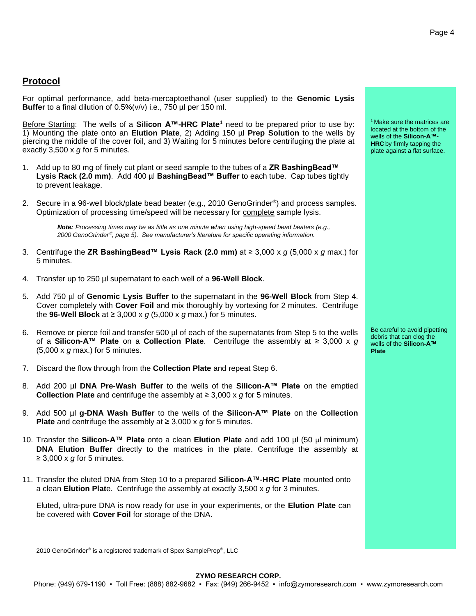#### **Protocol**

For optimal performance, add beta-mercaptoethanol (user supplied) to the **Genomic Lysis Buffer** to a final dilution of 0.5%(v/v) i.e., 750 µl per 150 ml.

Before Starting: The wells of a **Silicon A™-HRC Plate<sup>1</sup>** need to be prepared prior to use by: 1) Mounting the plate onto an **Elution Plate**, 2) Adding 150 µl **Prep Solution** to the wells by piercing the middle of the cover foil, and 3) Waiting for 5 minutes before centrifuging the plate at exactly 3,500 x *g* for 5 minutes.

- 1. Add up to 80 mg of finely cut plant or seed sample to the tubes of a **ZR BashingBead™ Lysis Rack (2.0 mm)**. Add 400 µl **BashingBead™ Buffer** to each tube. Cap tubes tightly to prevent leakage.
- 2. Secure in a 96-well block/plate bead beater (e.g., 2010 GenoGrinder®) and process samples. Optimization of processing time/speed will be necessary for complete sample lysis.

*Note: Processing times may be as little as one minute when using high-speed bead beaters (e.g., 2000 GenoGrinder , page 5). See manufacturer's literature for specific operating information.*

- 3. Centrifuge the **ZR BashingBead™ Lysis Rack (2.0 mm)** at ≥ 3,000 x *g* (5,000 x *g* max.) for 5 minutes.
- 4. Transfer up to 250 µl supernatant to each well of a **96-Well Block**.
- 5. Add 750 µl of **Genomic Lysis Buffer** to the supernatant in the **96-Well Block** from Step 4. Cover completely with **Cover Foil** and mix thoroughly by vortexing for 2 minutes. Centrifuge the **96-Well Block** at ≥ 3,000 x *g* (5,000 x *g* max.) for 5 minutes.
- 6. Remove or pierce foil and transfer 500 µl of each of the supernatants from Step 5 to the wells of a **Silicon-A™ Plate** on a **Collection Plate**. Centrifuge the assembly at ≥ 3,000 x *g* (5,000 x *g* max.) for 5 minutes.
- 7. Discard the flow through from the **Collection Plate** and repeat Step 6.
- 8. Add 200 µl **DNA Pre-Wash Buffer** to the wells of the **Silicon-A™ Plate** on the emptied **Collection Plate** and centrifuge the assembly at ≥ 3,000 x *g* for 5 minutes.
- 9. Add 500 µl **g-DNA Wash Buffer** to the wells of the **Silicon-A™ Plate** on the **Collection Plate** and centrifuge the assembly at ≥ 3,000 x *g* for 5 minutes.
- 10. Transfer the **Silicon-A™ Plate** onto a clean **Elution Plate** and add 100 µl (50 µl minimum) **DNA Elution Buffer** directly to the matrices in the plate. Centrifuge the assembly at ≥ 3,000 x *g* for 5 minutes.
- 11. Transfer the eluted DNA from Step 10 to a prepared **Silicon-A™-HRC Plate** mounted onto a clean **Elution Plat**e. Centrifuge the assembly at exactly 3,500 x *g* for 3 minutes.

Eluted, ultra-pure DNA is now ready for use in your experiments, or the **Elution Plate** can be covered with **Cover Foil** for storage of the DNA.

2010 GenoGrinder® is a registered trademark of Spex SamplePrep®, LLC

<sup>1</sup> Make sure the matrices are located at the bottom of the wells of the **Silicon-A™- HRC** by firmly tapping the plate against a flat surface.

Be careful to avoid pipetting debris that can clog the wells of the **Silicon-A™ Plate**